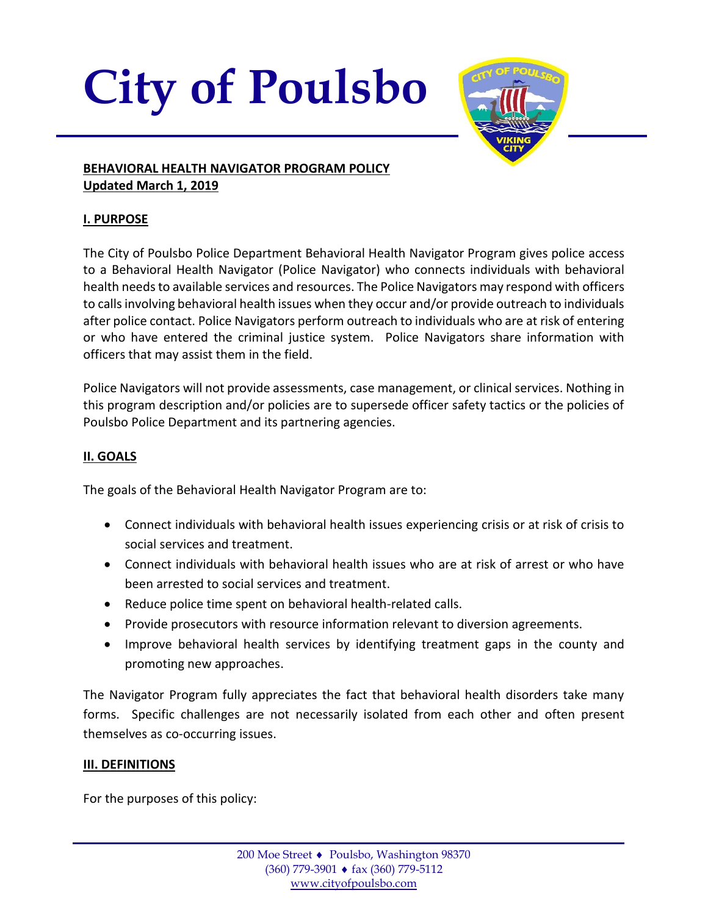# **City of Poulsbo**



#### **BEHAVIORAL HEALTH NAVIGATOR PROGRAM POLICY Updated March 1, 2019**

# **I. PURPOSE**

The City of Poulsbo Police Department Behavioral Health Navigator Program gives police access to a Behavioral Health Navigator (Police Navigator) who connects individuals with behavioral health needs to available services and resources. The Police Navigators may respond with officers to calls involving behavioral health issues when they occur and/or provide outreach to individuals after police contact. Police Navigators perform outreach to individuals who are at risk of entering or who have entered the criminal justice system. Police Navigators share information with officers that may assist them in the field.

Police Navigators will not provide assessments, case management, or clinical services. Nothing in this program description and/or policies are to supersede officer safety tactics or the policies of Poulsbo Police Department and its partnering agencies.

# **II. GOALS**

The goals of the Behavioral Health Navigator Program are to:

- Connect individuals with behavioral health issues experiencing crisis or at risk of crisis to social services and treatment.
- Connect individuals with behavioral health issues who are at risk of arrest or who have been arrested to social services and treatment.
- Reduce police time spent on behavioral health-related calls.
- Provide prosecutors with resource information relevant to diversion agreements.
- Improve behavioral health services by identifying treatment gaps in the county and promoting new approaches.

The Navigator Program fully appreciates the fact that behavioral health disorders take many forms. Specific challenges are not necessarily isolated from each other and often present themselves as co-occurring issues.

## **III. DEFINITIONS**

For the purposes of this policy: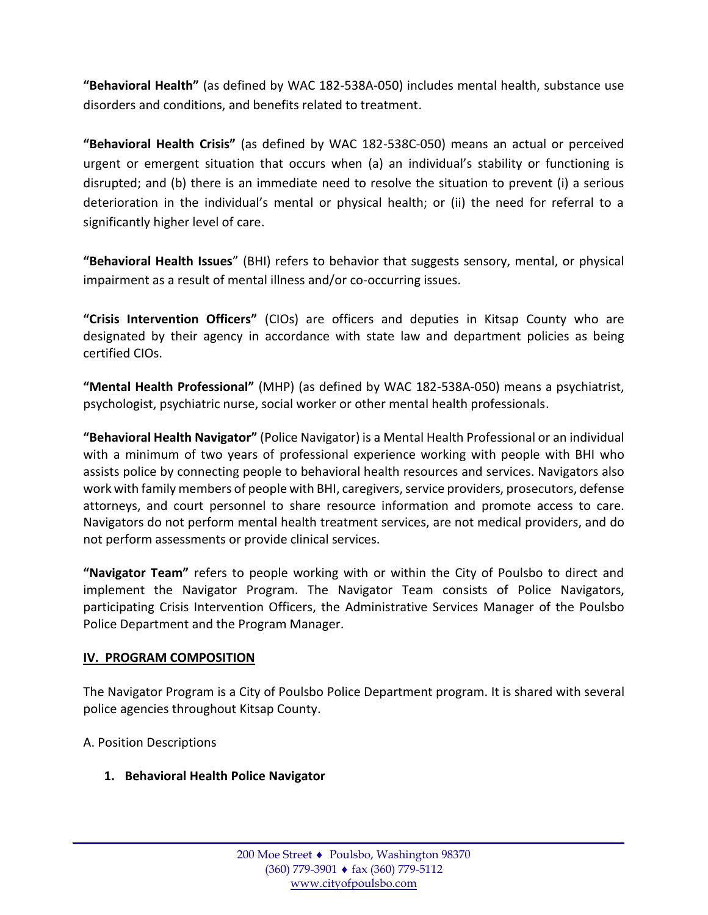**"Behavioral Health"** (as defined by WAC 182-538A-050) includes mental health, substance use disorders and conditions, and benefits related to treatment.

**"Behavioral Health Crisis"** (as defined by WAC 182-538C-050) means an actual or perceived urgent or emergent situation that occurs when (a) an individual's stability or functioning is disrupted; and (b) there is an immediate need to resolve the situation to prevent (i) a serious deterioration in the individual's mental or physical health; or (ii) the need for referral to a significantly higher level of care.

**"Behavioral Health Issues**" (BHI) refers to behavior that suggests sensory, mental, or physical impairment as a result of mental illness and/or co-occurring issues.

**"Crisis Intervention Officers"** (CIOs) are officers and deputies in Kitsap County who are designated by their agency in accordance with state law and department policies as being certified CIOs.

**"Mental Health Professional"** (MHP) (as defined by WAC 182-538A-050) means a psychiatrist, psychologist, psychiatric nurse, social worker or other mental health professionals.

**"Behavioral Health Navigator"** (Police Navigator) is a Mental Health Professional or an individual with a minimum of two years of professional experience working with people with BHI who assists police by connecting people to behavioral health resources and services. Navigators also work with family members of people with BHI, caregivers, service providers, prosecutors, defense attorneys, and court personnel to share resource information and promote access to care. Navigators do not perform mental health treatment services, are not medical providers, and do not perform assessments or provide clinical services.

**"Navigator Team"** refers to people working with or within the City of Poulsbo to direct and implement the Navigator Program. The Navigator Team consists of Police Navigators, participating Crisis Intervention Officers, the Administrative Services Manager of the Poulsbo Police Department and the Program Manager.

#### **IV. PROGRAM COMPOSITION**

The Navigator Program is a City of Poulsbo Police Department program. It is shared with several police agencies throughout Kitsap County.

A. Position Descriptions

**1. Behavioral Health Police Navigator**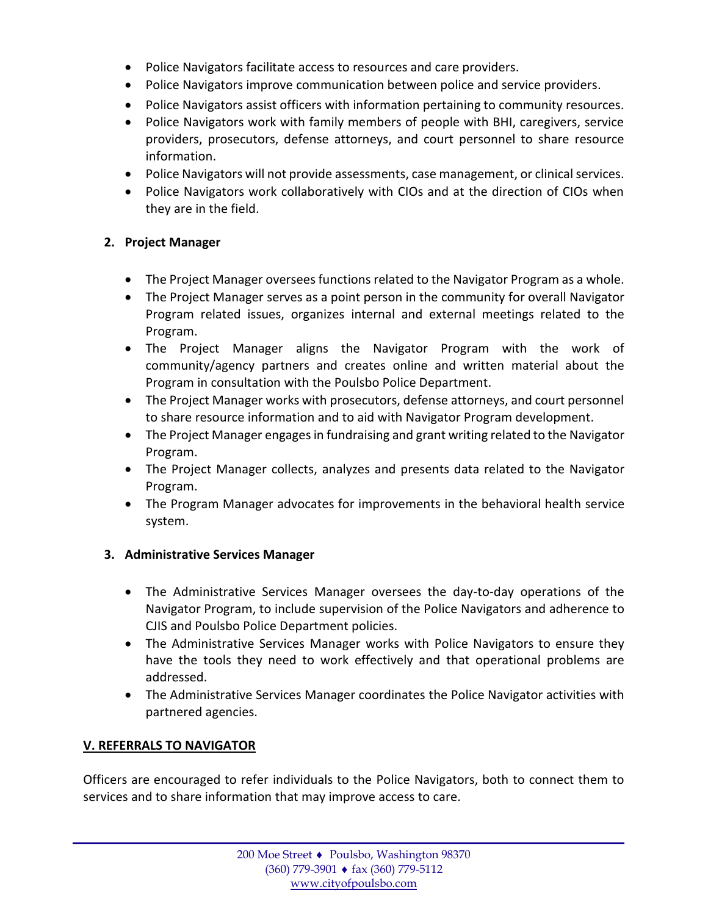- Police Navigators facilitate access to resources and care providers.
- Police Navigators improve communication between police and service providers.
- Police Navigators assist officers with information pertaining to community resources.
- Police Navigators work with family members of people with BHI, caregivers, service providers, prosecutors, defense attorneys, and court personnel to share resource information.
- Police Navigators will not provide assessments, case management, or clinical services.
- Police Navigators work collaboratively with CIOs and at the direction of CIOs when they are in the field.

#### **2. Project Manager**

- The Project Manager oversees functions related to the Navigator Program as a whole.
- The Project Manager serves as a point person in the community for overall Navigator Program related issues, organizes internal and external meetings related to the Program.
- The Project Manager aligns the Navigator Program with the work of community/agency partners and creates online and written material about the Program in consultation with the Poulsbo Police Department.
- The Project Manager works with prosecutors, defense attorneys, and court personnel to share resource information and to aid with Navigator Program development.
- The Project Manager engages in fundraising and grant writing related to the Navigator Program.
- The Project Manager collects, analyzes and presents data related to the Navigator Program.
- The Program Manager advocates for improvements in the behavioral health service system.

#### **3. Administrative Services Manager**

- The Administrative Services Manager oversees the day-to-day operations of the Navigator Program, to include supervision of the Police Navigators and adherence to CJIS and Poulsbo Police Department policies.
- The Administrative Services Manager works with Police Navigators to ensure they have the tools they need to work effectively and that operational problems are addressed.
- The Administrative Services Manager coordinates the Police Navigator activities with partnered agencies.

## **V. REFERRALS TO NAVIGATOR**

Officers are encouraged to refer individuals to the Police Navigators, both to connect them to services and to share information that may improve access to care.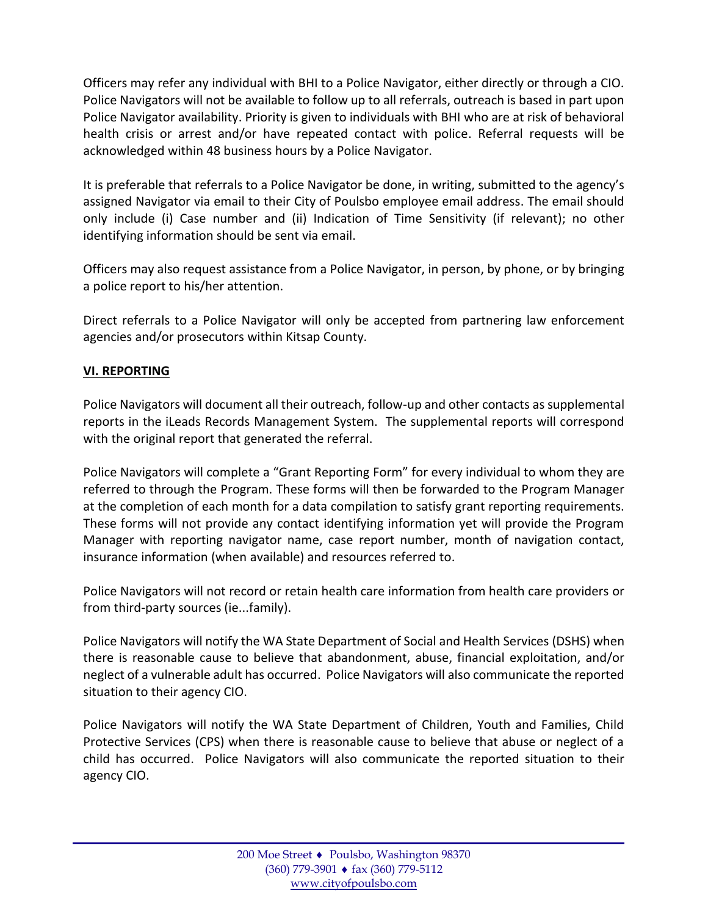Officers may refer any individual with BHI to a Police Navigator, either directly or through a CIO. Police Navigators will not be available to follow up to all referrals, outreach is based in part upon Police Navigator availability. Priority is given to individuals with BHI who are at risk of behavioral health crisis or arrest and/or have repeated contact with police. Referral requests will be acknowledged within 48 business hours by a Police Navigator.

It is preferable that referrals to a Police Navigator be done, in writing, submitted to the agency's assigned Navigator via email to their City of Poulsbo employee email address. The email should only include (i) Case number and (ii) Indication of Time Sensitivity (if relevant); no other identifying information should be sent via email.

Officers may also request assistance from a Police Navigator, in person, by phone, or by bringing a police report to his/her attention.

Direct referrals to a Police Navigator will only be accepted from partnering law enforcement agencies and/or prosecutors within Kitsap County.

## **VI. REPORTING**

Police Navigators will document all their outreach, follow-up and other contacts as supplemental reports in the iLeads Records Management System. The supplemental reports will correspond with the original report that generated the referral.

Police Navigators will complete a "Grant Reporting Form" for every individual to whom they are referred to through the Program. These forms will then be forwarded to the Program Manager at the completion of each month for a data compilation to satisfy grant reporting requirements. These forms will not provide any contact identifying information yet will provide the Program Manager with reporting navigator name, case report number, month of navigation contact, insurance information (when available) and resources referred to.

Police Navigators will not record or retain health care information from health care providers or from third-party sources (ie...family).

Police Navigators will notify the WA State Department of Social and Health Services (DSHS) when there is reasonable cause to believe that abandonment, abuse, financial exploitation, and/or neglect of a vulnerable adult has occurred. Police Navigators will also communicate the reported situation to their agency CIO.

Police Navigators will notify the WA State Department of Children, Youth and Families, Child Protective Services (CPS) when there is reasonable cause to believe that abuse or neglect of a child has occurred. Police Navigators will also communicate the reported situation to their agency CIO.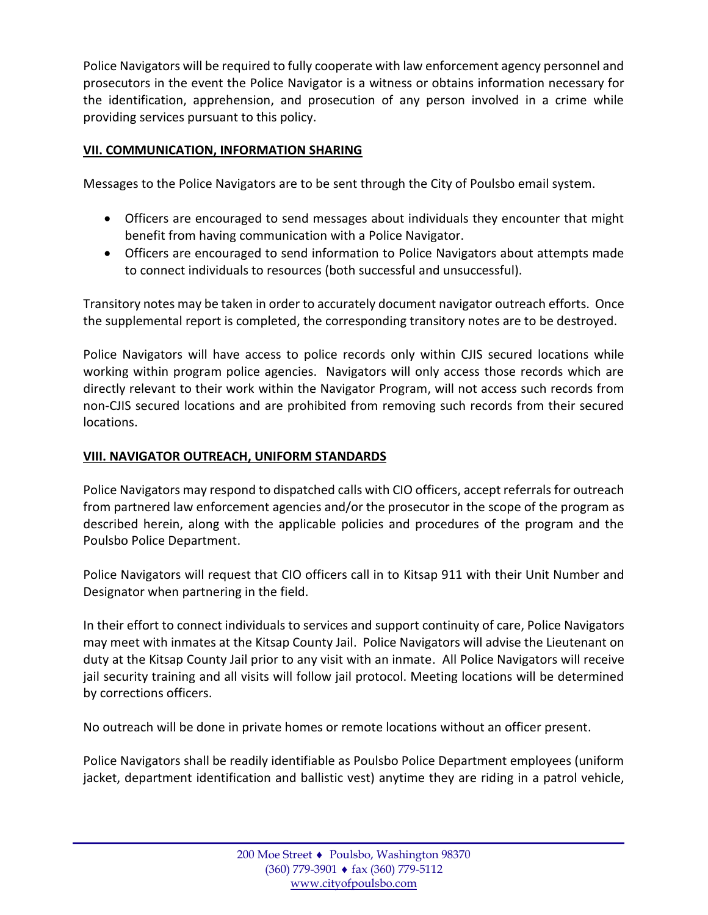Police Navigators will be required to fully cooperate with law enforcement agency personnel and prosecutors in the event the Police Navigator is a witness or obtains information necessary for the identification, apprehension, and prosecution of any person involved in a crime while providing services pursuant to this policy.

## **VII. COMMUNICATION, INFORMATION SHARING**

Messages to the Police Navigators are to be sent through the City of Poulsbo email system.

- Officers are encouraged to send messages about individuals they encounter that might benefit from having communication with a Police Navigator.
- Officers are encouraged to send information to Police Navigators about attempts made to connect individuals to resources (both successful and unsuccessful).

Transitory notes may be taken in order to accurately document navigator outreach efforts. Once the supplemental report is completed, the corresponding transitory notes are to be destroyed.

Police Navigators will have access to police records only within CJIS secured locations while working within program police agencies. Navigators will only access those records which are directly relevant to their work within the Navigator Program, will not access such records from non-CJIS secured locations and are prohibited from removing such records from their secured locations.

## **VIII. NAVIGATOR OUTREACH, UNIFORM STANDARDS**

Police Navigators may respond to dispatched calls with CIO officers, accept referrals for outreach from partnered law enforcement agencies and/or the prosecutor in the scope of the program as described herein, along with the applicable policies and procedures of the program and the Poulsbo Police Department.

Police Navigators will request that CIO officers call in to Kitsap 911 with their Unit Number and Designator when partnering in the field.

In their effort to connect individuals to services and support continuity of care, Police Navigators may meet with inmates at the Kitsap County Jail. Police Navigators will advise the Lieutenant on duty at the Kitsap County Jail prior to any visit with an inmate. All Police Navigators will receive jail security training and all visits will follow jail protocol. Meeting locations will be determined by corrections officers.

No outreach will be done in private homes or remote locations without an officer present.

Police Navigators shall be readily identifiable as Poulsbo Police Department employees (uniform jacket, department identification and ballistic vest) anytime they are riding in a patrol vehicle,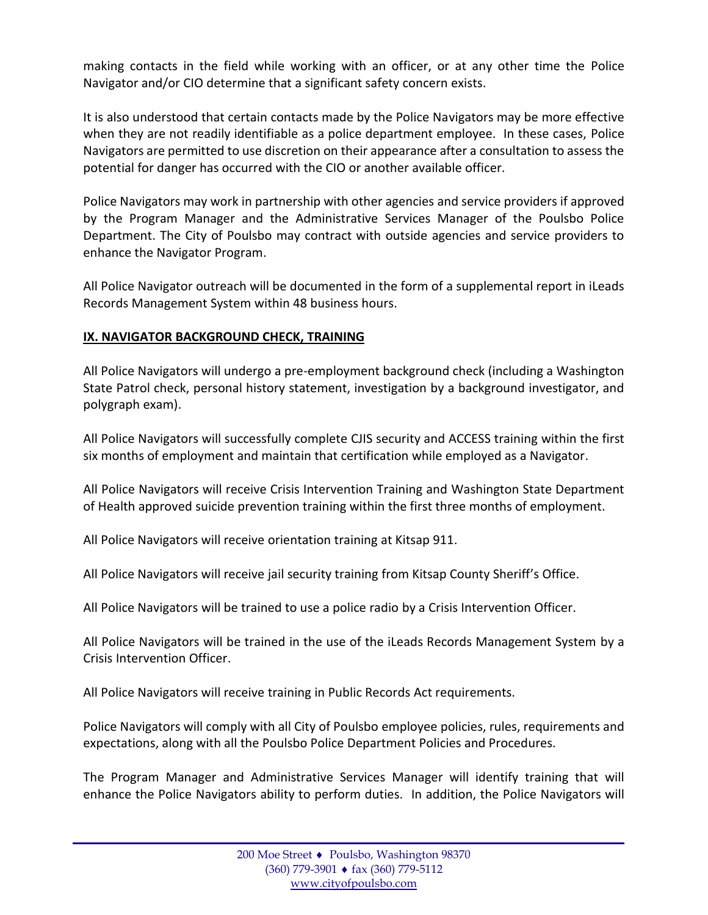making contacts in the field while working with an officer, or at any other time the Police Navigator and/or CIO determine that a significant safety concern exists.

It is also understood that certain contacts made by the Police Navigators may be more effective when they are not readily identifiable as a police department employee. In these cases, Police Navigators are permitted to use discretion on their appearance after a consultation to assess the potential for danger has occurred with the CIO or another available officer.

Police Navigators may work in partnership with other agencies and service providers if approved by the Program Manager and the Administrative Services Manager of the Poulsbo Police Department. The City of Poulsbo may contract with outside agencies and service providers to enhance the Navigator Program.

All Police Navigator outreach will be documented in the form of a supplemental report in iLeads Records Management System within 48 business hours.

## **IX. NAVIGATOR BACKGROUND CHECK, TRAINING**

All Police Navigators will undergo a pre-employment background check (including a Washington State Patrol check, personal history statement, investigation by a background investigator, and polygraph exam).

All Police Navigators will successfully complete CJIS security and ACCESS training within the first six months of employment and maintain that certification while employed as a Navigator.

All Police Navigators will receive Crisis Intervention Training and Washington State Department of Health approved suicide prevention training within the first three months of employment.

All Police Navigators will receive orientation training at Kitsap 911.

All Police Navigators will receive jail security training from Kitsap County Sheriff's Office.

All Police Navigators will be trained to use a police radio by a Crisis Intervention Officer.

All Police Navigators will be trained in the use of the iLeads Records Management System by a Crisis Intervention Officer.

All Police Navigators will receive training in Public Records Act requirements.

Police Navigators will comply with all City of Poulsbo employee policies, rules, requirements and expectations, along with all the Poulsbo Police Department Policies and Procedures.

The Program Manager and Administrative Services Manager will identify training that will enhance the Police Navigators ability to perform duties. In addition, the Police Navigators will